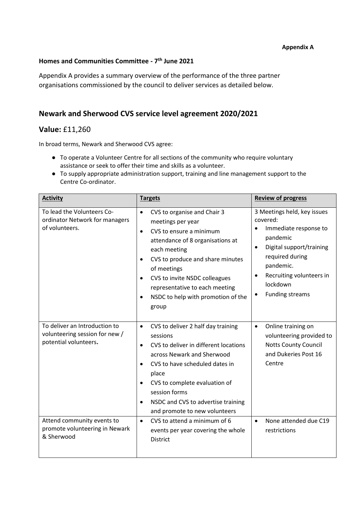#### **Appendix A**

### **Homes and Communities Committee - 7 th June 2021**

Appendix A provides a summary overview of the performance of the three partner organisations commissioned by the council to deliver services as detailed below.

## **Newark and Sherwood CVS service level agreement 2020/2021**

# **Value:** £11,260

In broad terms, Newark and Sherwood CVS agree:

- To operate a Volunteer Centre for all sections of the community who require voluntary assistance or seek to offer their time and skills as a volunteer.
- To supply appropriate administration support, training and line management support to the Centre Co-ordinator.

| <b>Activity</b>                                                                                                        | <b>Targets</b>                                                                                                                                                                                                                                                                                                                                                                | <b>Review of progress</b>                                                                                                                                                                                                                         |
|------------------------------------------------------------------------------------------------------------------------|-------------------------------------------------------------------------------------------------------------------------------------------------------------------------------------------------------------------------------------------------------------------------------------------------------------------------------------------------------------------------------|---------------------------------------------------------------------------------------------------------------------------------------------------------------------------------------------------------------------------------------------------|
| To lead the Volunteers Co-<br>ordinator Network for managers<br>of volunteers.                                         | CVS to organise and Chair 3<br>$\bullet$<br>meetings per year<br>CVS to ensure a minimum<br>$\bullet$<br>attendance of 8 organisations at<br>each meeting<br>CVS to produce and share minutes<br>$\bullet$<br>of meetings<br>CVS to invite NSDC colleagues<br>representative to each meeting<br>NSDC to help with promotion of the<br>$\bullet$<br>group                      | 3 Meetings held, key issues<br>covered:<br>Immediate response to<br>$\bullet$<br>pandemic<br>Digital support/training<br>$\bullet$<br>required during<br>pandemic.<br>Recruiting volunteers in<br>$\bullet$<br>lockdown<br><b>Funding streams</b> |
| To deliver an Introduction to<br>volunteering session for new /<br>potential volunteers.<br>Attend community events to | CVS to deliver 2 half day training<br>$\bullet$<br>sessions<br>CVS to deliver in different locations<br>$\bullet$<br>across Newark and Sherwood<br>CVS to have scheduled dates in<br>place<br>CVS to complete evaluation of<br>session forms<br>NSDC and CVS to advertise training<br>$\bullet$<br>and promote to new volunteers<br>CVS to attend a minimum of 6<br>$\bullet$ | Online training on<br>$\bullet$<br>volunteering provided to<br><b>Notts County Council</b><br>and Dukeries Post 16<br>Centre<br>None attended due C19<br>$\bullet$                                                                                |
| promote volunteering in Newark<br>& Sherwood                                                                           | events per year covering the whole<br><b>District</b>                                                                                                                                                                                                                                                                                                                         | restrictions                                                                                                                                                                                                                                      |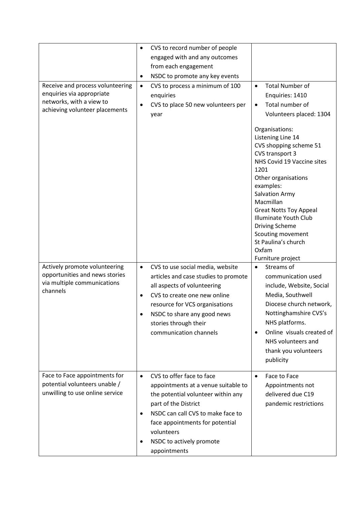| Receive and process volunteering<br>enquiries via appropriate<br>networks, with a view to<br>achieving volunteer placements | CVS to record number of people<br>$\bullet$<br>engaged with and any outcomes<br>from each engagement<br>NSDC to promote any key events<br>$\bullet$<br>CVS to process a minimum of 100<br>$\bullet$<br>enquiries<br>CVS to place 50 new volunteers per<br>$\bullet$<br>year   | <b>Total Number of</b><br>$\bullet$<br>Enquiries: 1410<br>Total number of<br>$\bullet$<br>Volunteers placed: 1304<br>Organisations:<br>Listening Line 14<br>CVS shopping scheme 51<br>CVS transport 3<br>NHS Covid 19 Vaccine sites<br>1201<br>Other organisations<br>examples:<br><b>Salvation Army</b><br>Macmillan<br><b>Great Notts Toy Appeal</b><br><b>Illuminate Youth Club</b><br><b>Driving Scheme</b><br>Scouting movement<br>St Paulina's church<br>Oxfam |
|-----------------------------------------------------------------------------------------------------------------------------|-------------------------------------------------------------------------------------------------------------------------------------------------------------------------------------------------------------------------------------------------------------------------------|----------------------------------------------------------------------------------------------------------------------------------------------------------------------------------------------------------------------------------------------------------------------------------------------------------------------------------------------------------------------------------------------------------------------------------------------------------------------|
| Actively promote volunteering<br>opportunities and news stories<br>via multiple communications<br>channels                  | CVS to use social media, website<br>$\bullet$<br>articles and case studies to promote<br>all aspects of volunteering<br>CVS to create one new online<br>resource for VCS organisations<br>NSDC to share any good news<br>stories through their<br>communication channels      | Furniture project<br>Streams of<br>$\bullet$<br>communication used<br>include, Website, Social<br>Media, Southwell<br>Diocese church network,<br>Nottinghamshire CVS's<br>NHS platforms.<br>Online visuals created of<br>$\bullet$<br>NHS volunteers and<br>thank you volunteers<br>publicity                                                                                                                                                                        |
| Face to Face appointments for<br>potential volunteers unable /<br>unwilling to use online service                           | CVS to offer face to face<br>$\bullet$<br>appointments at a venue suitable to<br>the potential volunteer within any<br>part of the District<br>NSDC can call CVS to make face to<br>face appointments for potential<br>volunteers<br>NSDC to actively promote<br>appointments | Face to Face<br>$\bullet$<br>Appointments not<br>delivered due C19<br>pandemic restrictions                                                                                                                                                                                                                                                                                                                                                                          |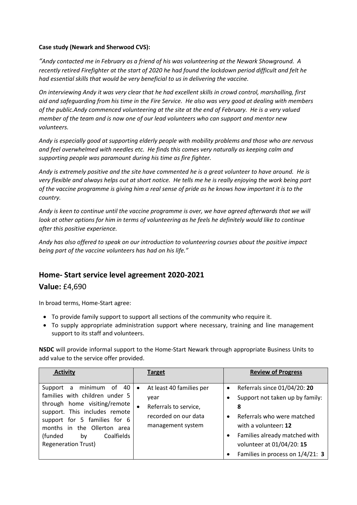#### **Case study (Newark and Sherwood CVS):**

*"Andy contacted me in February as a friend of his was volunteering at the Newark Showground. A recently retired Firefighter at the start of 2020 he had found the lockdown period difficult and felt he had essential skills that would be very beneficial to us in delivering the vaccine.*

*On interviewing Andy it was very clear that he had excellent skills in crowd control, marshalling, first aid and safeguarding from his time in the Fire Service. He also was very good at dealing with members of the public.Andy commenced volunteering at the site at the end of February. He is a very valued member of the team and is now one of our lead volunteers who can support and mentor new volunteers.* 

*Andy is especially good at supporting elderly people with mobility problems and those who are nervous and feel overwhelmed with needles etc. He finds this comes very naturally as keeping calm and supporting people was paramount during his time as fire fighter.*

*Andy is extremely positive and the site have commented he is a great volunteer to have around. He is very flexible and always helps out at short notice. He tells me he is really enjoying the work being part of the vaccine programme is giving him a real sense of pride as he knows how important it is to the country.* 

*Andy is keen to continue until the vaccine programme is over, we have agreed afterwards that we will look at other options for him in terms of volunteering as he feels he definitely would like to continue after this positive experience.* 

*Andy has also offered to speak on our introduction to volunteering courses about the positive impact being part of the vaccine volunteers has had on his life."*

# **Home- Start service level agreement 2020-2021**

### **Value:** £4,690

In broad terms, Home-Start agree:

- To provide family support to support all sections of the community who require it.
- To supply appropriate administration support where necessary, training and line management support to its staff and volunteers.

**NSDC** will provide informal support to the Home-Start Newark through appropriate Business Units to add value to the service offer provided.

| <b>Activity</b>                                                                                                                                                                                                                                              | <b>Target</b>                                                                                                                    | <b>Review of Progress</b>                                                                                                                                                                                                                              |
|--------------------------------------------------------------------------------------------------------------------------------------------------------------------------------------------------------------------------------------------------------------|----------------------------------------------------------------------------------------------------------------------------------|--------------------------------------------------------------------------------------------------------------------------------------------------------------------------------------------------------------------------------------------------------|
| minimum of 40<br>Support<br>a<br>families with children under 5<br>through home visiting/remote<br>support. This includes remote<br>support for 5 families for 6<br>months in the Ollerton area<br>Coalfields<br>(funded<br>by<br><b>Regeneration Trust)</b> | At least 40 families per<br>$\bullet$<br>year<br>Referrals to service,<br>$\bullet$<br>recorded on our data<br>management system | Referrals since 01/04/20: 20<br>$\bullet$<br>Support not taken up by family:<br>8<br>Referrals who were matched<br>$\bullet$<br>with a volunteer: 12<br>Families already matched with<br>volunteer at 01/04/20: 15<br>Families in process on 1/4/21: 3 |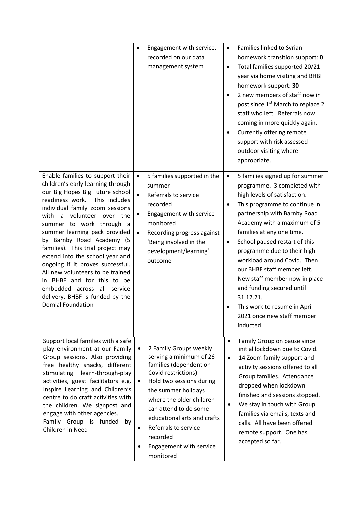|                                                                                                                                                                                                                                                                                                                                                                                                                                                                                                                                                                                          | Engagement with service,<br>٠<br>recorded on our data<br>management system                                                                                                                                                                                                                                                                                                | Families linked to Syrian<br>$\bullet$<br>homework transition support: 0<br>Total families supported 20/21<br>$\bullet$<br>year via home visiting and BHBF<br>homework support: 30<br>2 new members of staff now in<br>$\bullet$<br>post since 1 <sup>st</sup> March to replace 2<br>staff who left. Referrals now<br>coming in more quickly again.<br>Currently offering remote<br>support with risk assessed<br>outdoor visiting where<br>appropriate.                                                                                  |
|------------------------------------------------------------------------------------------------------------------------------------------------------------------------------------------------------------------------------------------------------------------------------------------------------------------------------------------------------------------------------------------------------------------------------------------------------------------------------------------------------------------------------------------------------------------------------------------|---------------------------------------------------------------------------------------------------------------------------------------------------------------------------------------------------------------------------------------------------------------------------------------------------------------------------------------------------------------------------|-------------------------------------------------------------------------------------------------------------------------------------------------------------------------------------------------------------------------------------------------------------------------------------------------------------------------------------------------------------------------------------------------------------------------------------------------------------------------------------------------------------------------------------------|
| Enable families to support their<br>children's early learning through<br>our Big Hopes Big Future school<br>readiness work.<br>This includes<br>individual family zoom sessions<br>volunteer over the<br>with<br>a<br>summer to work through a<br>summer learning pack provided<br>by Barnby Road Academy (5<br>families). This trial project may<br>extend into the school year and<br>ongoing if it proves successful.<br>All new volunteers to be trained<br>in BHBF and for this to be<br>embedded across all service<br>delivery. BHBF is funded by the<br><b>Domlal Foundation</b> | 5 families supported in the<br>$\bullet$<br>summer<br>Referrals to service<br>$\bullet$<br>recorded<br>Engagement with service<br>monitored<br>Recording progress against<br>$\bullet$<br>'Being involved in the<br>development/learning'<br>outcome                                                                                                                      | 5 families signed up for summer<br>$\bullet$<br>programme. 3 completed with<br>high levels of satisfaction.<br>This programme to continue in<br>partnership with Barnby Road<br>Academy with a maximum of 5<br>families at any one time.<br>School paused restart of this<br>$\bullet$<br>programme due to their high<br>workload around Covid. Then<br>our BHBF staff member left.<br>New staff member now in place<br>and funding secured until<br>31.12.21.<br>This work to resume in April<br>2021 once new staff member<br>inducted. |
| Support local families with a safe<br>play environment at our Family<br>Group sessions. Also providing<br>free healthy snacks, different<br>learn-through-play<br>stimulating<br>activities, guest facilitators e.g.<br>Inspire Learning and Children's<br>centre to do craft activities with<br>the children. We signpost and<br>engage with other agencies.<br>Family Group is funded<br>by<br>Children in Need                                                                                                                                                                        | 2 Family Groups weekly<br>$\bullet$<br>serving a minimum of 26<br>families (dependent on<br>Covid restrictions)<br>Hold two sessions during<br>$\bullet$<br>the summer holidays<br>where the older children<br>can attend to do some<br>educational arts and crafts<br>Referrals to service<br>$\bullet$<br>recorded<br>Engagement with service<br>$\bullet$<br>monitored | Family Group on pause since<br>$\bullet$<br>initial lockdown due to Covid.<br>14 Zoom family support and<br>$\bullet$<br>activity sessions offered to all<br>Group families. Attendance<br>dropped when lockdown<br>finished and sessions stopped.<br>We stay in touch with Group<br>$\bullet$<br>families via emails, texts and<br>calls. All have been offered<br>remote support. One has<br>accepted so far.                                                                                                                           |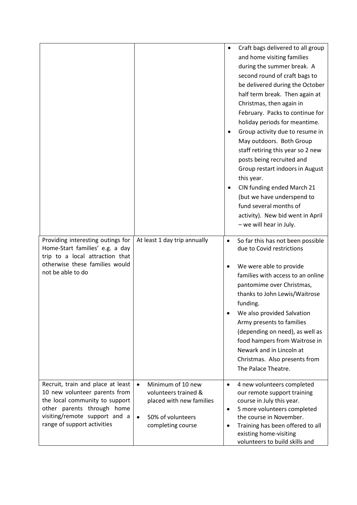|                                                                                                                                                                                                    |                                                                                                                                           | $\bullet$                           | Craft bags delivered to all group<br>and home visiting families<br>during the summer break. A<br>second round of craft bags to<br>be delivered during the October<br>half term break. Then again at<br>Christmas, then again in<br>February. Packs to continue for<br>holiday periods for meantime.<br>Group activity due to resume in<br>May outdoors. Both Group<br>staff retiring this year so 2 new<br>posts being recruited and<br>Group restart indoors in August<br>this year.<br>CIN funding ended March 21<br>(but we have underspend to<br>fund several months of<br>activity). New bid went in April<br>- we will hear in July. |
|----------------------------------------------------------------------------------------------------------------------------------------------------------------------------------------------------|-------------------------------------------------------------------------------------------------------------------------------------------|-------------------------------------|--------------------------------------------------------------------------------------------------------------------------------------------------------------------------------------------------------------------------------------------------------------------------------------------------------------------------------------------------------------------------------------------------------------------------------------------------------------------------------------------------------------------------------------------------------------------------------------------------------------------------------------------|
| Providing interesting outings for<br>Home-Start families' e.g. a day<br>trip to a local attraction that<br>otherwise these families would<br>not be able to do                                     | At least 1 day trip annually                                                                                                              | $\bullet$                           | So far this has not been possible<br>due to Covid restrictions<br>We were able to provide<br>families with access to an online<br>pantomime over Christmas,<br>thanks to John Lewis/Waitrose<br>funding.<br>We also provided Salvation<br>Army presents to families<br>(depending on need), as well as<br>food hampers from Waitrose in<br>Newark and in Lincoln at<br>Christmas. Also presents from<br>The Palace Theatre.                                                                                                                                                                                                                |
| Recruit, train and place at least<br>10 new volunteer parents from<br>the local community to support<br>other parents through home<br>visiting/remote support and a<br>range of support activities | Minimum of 10 new<br>$\bullet$<br>volunteers trained &<br>placed with new families<br>50% of volunteers<br>$\bullet$<br>completing course | $\bullet$<br>$\bullet$<br>$\bullet$ | 4 new volunteers completed<br>our remote support training<br>course in July this year.<br>5 more volunteers completed<br>the course in November.<br>Training has been offered to all<br>existing home-visiting<br>volunteers to build skills and                                                                                                                                                                                                                                                                                                                                                                                           |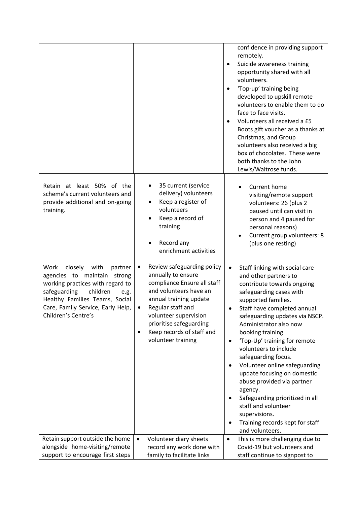|                                                                                                                                                                                                                                         |                                                                                                                                                                                                                                                                                   | confidence in providing support<br>remotely.<br>Suicide awareness training<br>opportunity shared with all<br>volunteers.<br>'Top-up' training being<br>developed to upskill remote<br>volunteers to enable them to do<br>face to face visits.<br>Volunteers all received a £5<br>Boots gift voucher as a thanks at<br>Christmas, and Group<br>volunteers also received a big<br>box of chocolates. These were<br>both thanks to the John<br>Lewis/Waitrose funds.                                                                                                                                                             |
|-----------------------------------------------------------------------------------------------------------------------------------------------------------------------------------------------------------------------------------------|-----------------------------------------------------------------------------------------------------------------------------------------------------------------------------------------------------------------------------------------------------------------------------------|-------------------------------------------------------------------------------------------------------------------------------------------------------------------------------------------------------------------------------------------------------------------------------------------------------------------------------------------------------------------------------------------------------------------------------------------------------------------------------------------------------------------------------------------------------------------------------------------------------------------------------|
| Retain at least 50% of the<br>scheme's current volunteers and<br>provide additional and on-going<br>training.                                                                                                                           | 35 current (service<br>delivery) volunteers<br>Keep a register of<br>volunteers<br>Keep a record of<br>training<br>Record any<br>enrichment activities                                                                                                                            | Current home<br>visiting/remote support<br>volunteers: 26 (plus 2<br>paused until can visit in<br>person and 4 paused for<br>personal reasons)<br>Current group volunteers: 8<br>(plus one resting)                                                                                                                                                                                                                                                                                                                                                                                                                           |
| closely<br>Work<br>with<br>partner<br>agencies to maintain strong<br>working practices with regard to<br>safeguarding<br>children<br>e.g.<br>Healthy Families Teams, Social<br>Care, Family Service, Early Help,<br>Children's Centre's | Review safeguarding policy<br>٠<br>annually to ensure<br>compliance Ensure all staff<br>and volunteers have an<br>annual training update<br>Regular staff and<br>volunteer supervision<br>prioritise safeguarding<br>Keep records of staff and<br>$\bullet$<br>volunteer training | Staff linking with social care<br>$\bullet$<br>and other partners to<br>contribute towards ongoing<br>safeguarding cases with<br>supported families.<br>Staff have completed annual<br>safeguarding updates via NSCP.<br>Administrator also now<br>booking training.<br>'Top-Up' training for remote<br>$\bullet$<br>volunteers to include<br>safeguarding focus.<br>Volunteer online safeguarding<br>update focusing on domestic<br>abuse provided via partner<br>agency.<br>Safeguarding prioritized in all<br>٠<br>staff and volunteer<br>supervisions.<br>Training records kept for staff<br>$\bullet$<br>and volunteers. |
| Retain support outside the home                                                                                                                                                                                                         | Volunteer diary sheets<br>$\bullet$                                                                                                                                                                                                                                               | This is more challenging due to<br>$\bullet$                                                                                                                                                                                                                                                                                                                                                                                                                                                                                                                                                                                  |
| alongside home-visiting/remote                                                                                                                                                                                                          | record any work done with                                                                                                                                                                                                                                                         | Covid-19 but volunteers and                                                                                                                                                                                                                                                                                                                                                                                                                                                                                                                                                                                                   |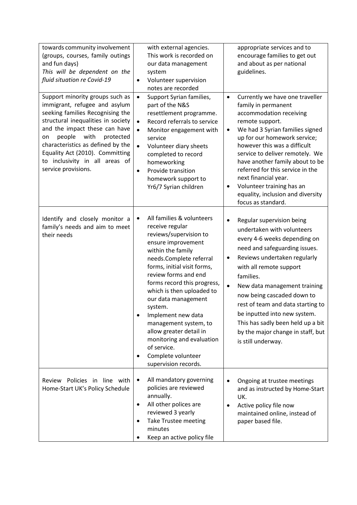| towards community involvement<br>(groups, courses, family outings<br>and fun days)<br>This will be dependent on the<br>fluid situation re Covid-19                                                                                                                                                                                                | with external agencies.<br>This work is recorded on<br>our data management<br>system<br>Volunteer supervision<br>$\bullet$<br>notes are recorded                                                                                                                                                                                                                                                                                                                                   | appropriate services and to<br>encourage families to get out<br>and about as per national<br>guidelines.                                                                                                                                                                                                                                                                                                                                                                   |
|---------------------------------------------------------------------------------------------------------------------------------------------------------------------------------------------------------------------------------------------------------------------------------------------------------------------------------------------------|------------------------------------------------------------------------------------------------------------------------------------------------------------------------------------------------------------------------------------------------------------------------------------------------------------------------------------------------------------------------------------------------------------------------------------------------------------------------------------|----------------------------------------------------------------------------------------------------------------------------------------------------------------------------------------------------------------------------------------------------------------------------------------------------------------------------------------------------------------------------------------------------------------------------------------------------------------------------|
| Support minority groups such as<br>immigrant, refugee and asylum<br>seeking families Recognising the<br>structural inequalities in society<br>and the impact these can have<br>people<br>with<br>protected<br>on<br>characteristics as defined by the<br>Equality Act (2010). Committing<br>to inclusivity in all areas of<br>service provisions. | Support Syrian families,<br>$\bullet$<br>part of the N&S<br>resettlement programme.<br>Record referrals to service<br>$\bullet$<br>Monitor engagement with<br>$\bullet$<br>service<br>Volunteer diary sheets<br>$\bullet$<br>completed to record<br>homeworking<br>Provide transition<br>$\bullet$<br>homework support to<br>Yr6/7 Syrian children                                                                                                                                 | Currently we have one traveller<br>$\bullet$<br>family in permanent<br>accommodation receiving<br>remote support.<br>We had 3 Syrian families signed<br>$\bullet$<br>up for our homework service;<br>however this was a difficult<br>service to deliver remotely. We<br>have another family about to be<br>referred for this service in the<br>next financial year.<br>Volunteer training has an<br>equality, inclusion and diversity<br>focus as standard.                |
| Identify and closely monitor a<br>family's needs and aim to meet<br>their needs                                                                                                                                                                                                                                                                   | All families & volunteers<br>$\bullet$<br>receive regular<br>reviews/supervision to<br>ensure improvement<br>within the family<br>needs.Complete referral<br>forms, initial visit forms,<br>review forms and end<br>forms record this progress,<br>which is then uploaded to<br>our data management<br>system.<br>Implement new data<br>management system, to<br>allow greater detail in<br>monitoring and evaluation<br>of service.<br>Complete volunteer<br>supervision records. | Regular supervision being<br>$\bullet$<br>undertaken with volunteers<br>every 4-6 weeks depending on<br>need and safeguarding issues.<br>Reviews undertaken regularly<br>$\bullet$<br>with all remote support<br>families.<br>$\bullet$<br>New data management training<br>now being cascaded down to<br>rest of team and data starting to<br>be inputted into new system.<br>This has sadly been held up a bit<br>by the major change in staff, but<br>is still underway. |
| Review Policies in line with<br>Home-Start UK's Policy Schedule                                                                                                                                                                                                                                                                                   | All mandatory governing<br>$\bullet$<br>policies are reviewed<br>annually.<br>All other polices are<br>٠<br>reviewed 3 yearly<br>Take Trustee meeting<br>٠<br>minutes<br>Keep an active policy file                                                                                                                                                                                                                                                                                | Ongoing at trustee meetings<br>and as instructed by Home-Start<br>UK.<br>Active policy file now<br>٠<br>maintained online, instead of<br>paper based file.                                                                                                                                                                                                                                                                                                                 |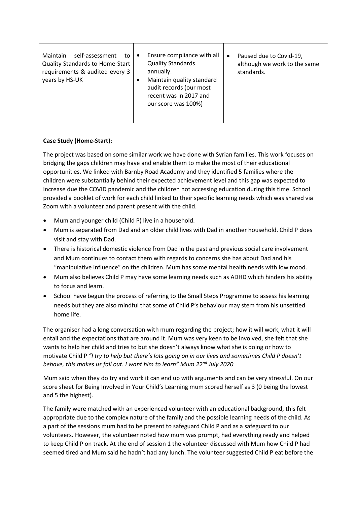| self-assessment<br><b>Maintain</b><br>to<br><b>Quality Standards to Home-Start</b><br>requirements & audited every 3<br>years by HS-UK |  | Ensure compliance with all<br><b>Quality Standards</b><br>annually.<br>Maintain quality standard<br>audit records (our most<br>recent was in 2017 and<br>our score was 100%) | $\bullet$ | Paused due to Covid-19,<br>although we work to the same<br>standards. |
|----------------------------------------------------------------------------------------------------------------------------------------|--|------------------------------------------------------------------------------------------------------------------------------------------------------------------------------|-----------|-----------------------------------------------------------------------|
|----------------------------------------------------------------------------------------------------------------------------------------|--|------------------------------------------------------------------------------------------------------------------------------------------------------------------------------|-----------|-----------------------------------------------------------------------|

### **Case Study (Home-Start):**

The project was based on some similar work we have done with Syrian families. This work focuses on bridging the gaps children may have and enable them to make the most of their educational opportunities. We linked with Barnby Road Academy and they identified 5 families where the children were substantially behind their expected achievement level and this gap was expected to increase due the COVID pandemic and the children not accessing education during this time. School provided a booklet of work for each child linked to their specific learning needs which was shared via Zoom with a volunteer and parent present with the child.

- Mum and younger child (Child P) live in a household.
- Mum is separated from Dad and an older child lives with Dad in another household. Child P does visit and stay with Dad.
- There is historical domestic violence from Dad in the past and previous social care involvement and Mum continues to contact them with regards to concerns she has about Dad and his "manipulative influence" on the children. Mum has some mental health needs with low mood.
- Mum also believes Child P may have some learning needs such as ADHD which hinders his ability to focus and learn.
- School have begun the process of referring to the Small Steps Programme to assess his learning needs but they are also mindful that some of Child P's behaviour may stem from his unsettled home life.

The organiser had a long conversation with mum regarding the project; how it will work, what it will entail and the expectations that are around it. Mum was very keen to be involved, she felt that she wants to help her child and tries to but she doesn't always know what she is doing or how to motivate Child P *"I try to help but there's lots going on in our lives and sometimes Child P doesn't behave, this makes us fall out. I want him to learn" Mum 22nd July 2020* 

Mum said when they do try and work it can end up with arguments and can be very stressful. On our score sheet for Being Involved in Your Child's Learning mum scored herself as 3 (0 being the lowest and 5 the highest).

The family were matched with an experienced volunteer with an educational background, this felt appropriate due to the complex nature of the family and the possible learning needs of the child. As a part of the sessions mum had to be present to safeguard Child P and as a safeguard to our volunteers. However, the volunteer noted how mum was prompt, had everything ready and helped to keep Child P on track. At the end of session 1 the volunteer discussed with Mum how Child P had seemed tired and Mum said he hadn't had any lunch. The volunteer suggested Child P eat before the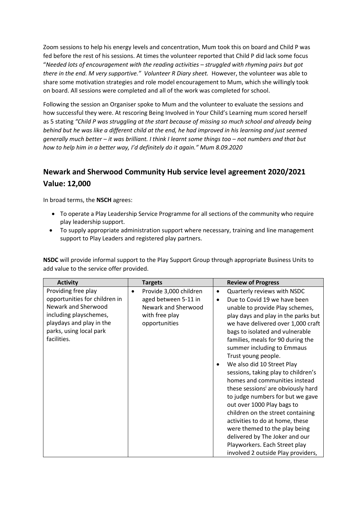Zoom sessions to help his energy levels and concentration, Mum took this on board and Child P was fed before the rest of his sessions. At times the volunteer reported that Child P did lack some focus "*Needed lots of encouragement with the reading activities – struggled with rhyming pairs but got there in the end. M very supportive." Volunteer R Diary sheet.* However, the volunteer was able to share some motivation strategies and role model encouragement to Mum, which she willingly took on board. All sessions were completed and all of the work was completed for school.

Following the session an Organiser spoke to Mum and the volunteer to evaluate the sessions and how successful they were. At rescoring Being Involved in Your Child's Learning mum scored herself as 5 stating *"Child P was struggling at the start because of missing so much school and already being behind but he was like a different child at the end, he had improved in his learning and just seemed generally much better – it was brilliant. I think I learnt some things too – not numbers and that but how to help him in a better way, I'd definitely do it again." Mum 8.09.2020*

# **Newark and Sherwood Community Hub service level agreement 2020/2021 Value: 12,000**

In broad terms, the **NSCH** agrees:

- To operate a Play Leadership Service Programme for all sections of the community who require play leadership support.
- To supply appropriate administration support where necessary, training and line management support to Play Leaders and registered play partners.

**NSDC** will provide informal support to the Play Support Group through appropriate Business Units to add value to the service offer provided.

| <b>Activity</b>               | <b>Targets</b>                      |           | <b>Review of Progress</b>                      |
|-------------------------------|-------------------------------------|-----------|------------------------------------------------|
| Providing free play           | Provide 3,000 children<br>$\bullet$ | $\bullet$ | Quarterly reviews with NSDC                    |
| opportunities for children in | aged between 5-11 in                | $\bullet$ | Due to Covid 19 we have been                   |
| Newark and Sherwood           | Newark and Sherwood                 |           | unable to provide Play schemes,                |
| including playschemes,        | with free play                      |           | play days and play in the parks but            |
| playdays and play in the      | opportunities                       |           | we have delivered over 1,000 craft             |
| parks, using local park       |                                     |           | bags to isolated and vulnerable                |
| facilities.                   |                                     |           | families, meals for 90 during the              |
|                               |                                     |           | summer including to Emmaus                     |
|                               |                                     |           | Trust young people.                            |
|                               |                                     | $\bullet$ | We also did 10 Street Play                     |
|                               |                                     |           | sessions, taking play to children's            |
|                               |                                     |           | homes and communities instead                  |
|                               |                                     |           | these sessions <sup>i</sup> are obviously hard |
|                               |                                     |           | to judge numbers for but we gave               |
|                               |                                     |           | out over 1000 Play bags to                     |
|                               |                                     |           | children on the street containing              |
|                               |                                     |           | activities to do at home, these                |
|                               |                                     |           | were themed to the play being                  |
|                               |                                     |           | delivered by The Joker and our                 |
|                               |                                     |           | Playworkers. Each Street play                  |
|                               |                                     |           | involved 2 outside Play providers,             |